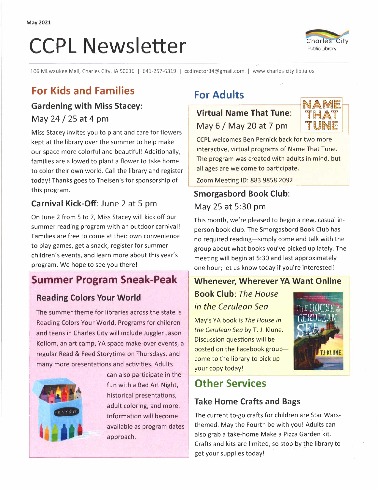# **CCPL Newsletter CCPL Newsletter**



106 Milwaukee Mall, Charles City, IA 50616 I 641-257-6319 I ccdirector34@gmail.com I www.charles-city.lib.ia.us

# **For Kids and Families**

#### **Gardening with Miss Stacey:**

May 24 / 25 at 4 pm

Miss Stacey invites you to plant and care for flowers kept at the library over the summer to help make our space more colorful and beautiful! Additionally, families are allowed to plant a flower to take home to color their own world. Call the library and register today! Thanks goes to Theisen's for sponsorship of this program.

#### **Carnival Kick-Off:** June 2 at 5 pm

On June 2 from 5 to 7, Miss Stacey will kick off our summer reading program with an outdoor carnival! Families are free to come at their own convenience to play games, get a snack, register for summer children's events, and learn more about this year's program. We hope to see you there!

#### **Summer Program Sneak-Peak**

#### **Reading Colors Your World**

The summer theme for libraries across the state is Reading Colors Your World. Programs for children and teens in Charles City will include Juggler Jason Kollom, an art camp, YA space make-over events, a regular Read & Feed Storytime on Thursdays, and many more presentations and activities. Adults



can also participate in the fun with a Bad Art Night, historical presentations, adult coloring, and more. adult coloring, and more.<br>
Information will become<br>
available as program date available as program dates approach.

# **For Adults**

#### **Virtual Name That Tune:**  May 6 / May 20 at 7 pm



CCPL welcomes Ben Pernick back for two more interactive, virtual programs of Name That Tune. The program was created with adults in mind, but all ages are welcome to participate.

Zoom Meeting ID: 883 9858 2092

# **Smorgasbord Book Club:**  May 25 at 5:30 pm

This month, we're pleased to begin a new, casual inperson book club. The Smorgasbord Book Club has no required reading-simply come and talk with the group about what books you've picked up lately. The meeting will begin at 5:30 and last approximately one hour; let us know today if you're interested!

#### **Whenever, Wherever YA Want Online**

# **Book Club:** *The House in the Cerulean Sea*

May's YA book is *The House in the Cerulean Sea* by T. J. Klune. Discussion questions will be posted on the Facebook groupcome to the library to pick up your copy today!

# **Other Services**

#### **Take Home Crafts and Bags**

The current to-go crafts for children are Star Warsthemed. May the Fourth be with you! Adults can also grab a take-home Make a Pizza Garden kit. Crafts and kits are limited, so stop by the library to get your supplies today!